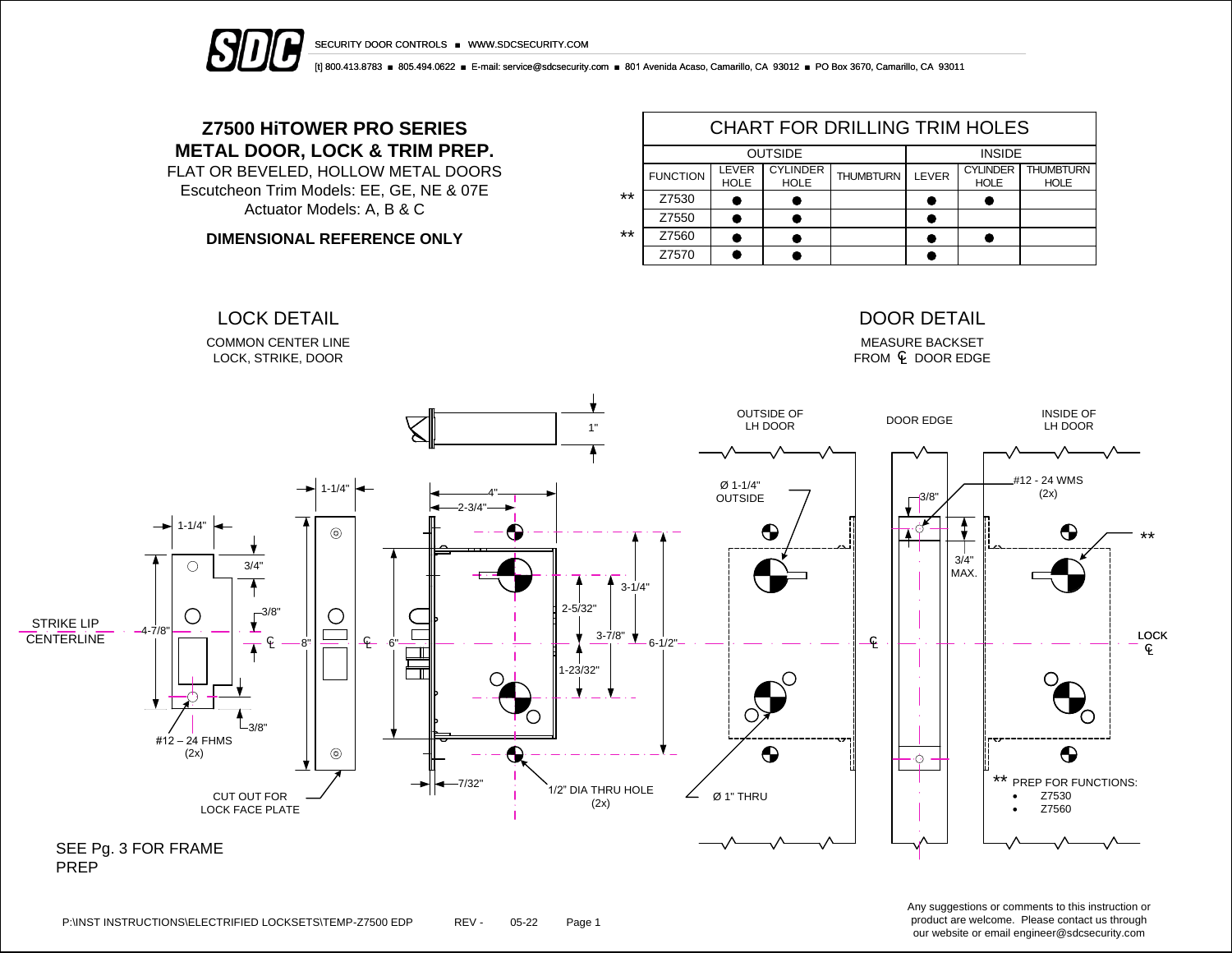

SECURITY DOOR CONTROLS ■ WWW.SDCSECURITY.COM

[t] 800.413.8783 ■ 805.494.0622 ■ E-mail: service@sdcsecurity.com ■ 801 Avenida Acaso, Camarillo, CA 93012 ■ PO Box 3670, Camarillo, CA 93011

# **Z7500 HiTOWER PRO SERIES METAL DOOR, LOCK & TRIM PREP.**

FLAT OR BEVELED, HOLLOW METAL DOORS Escutcheon Trim Models: EE, GE, NE & 07E Actuator Models: A, B & C

**DIMENSIONAL REFERENCE ONLY**

|       | <b>CHART FOR DRILLING TRIM HOLES</b> |                      |                                |                  |       |                                |                                 |  |  |  |  |
|-------|--------------------------------------|----------------------|--------------------------------|------------------|-------|--------------------------------|---------------------------------|--|--|--|--|
|       |                                      | <b>OUTSIDE</b>       | <b>INSIDE</b>                  |                  |       |                                |                                 |  |  |  |  |
|       | <b>FUNCTION</b>                      | LEVER<br><b>HOLE</b> | <b>CYLINDER</b><br><b>HOLE</b> | <b>THUMBTURN</b> | LEVER | <b>CYLINDER</b><br><b>HOLE</b> | <b>THUMBTURN</b><br><b>HOLE</b> |  |  |  |  |
| $***$ | Z7530                                |                      |                                |                  |       |                                |                                 |  |  |  |  |
|       | Z7550                                |                      |                                |                  |       |                                |                                 |  |  |  |  |
| $***$ | Z7560                                |                      |                                |                  |       |                                |                                 |  |  |  |  |
|       | Z7570                                |                      |                                |                  |       |                                |                                 |  |  |  |  |



Any suggestions or comments to this instruction or product are welcome. Please contact us through our website or email engineer@sdcsecurity.com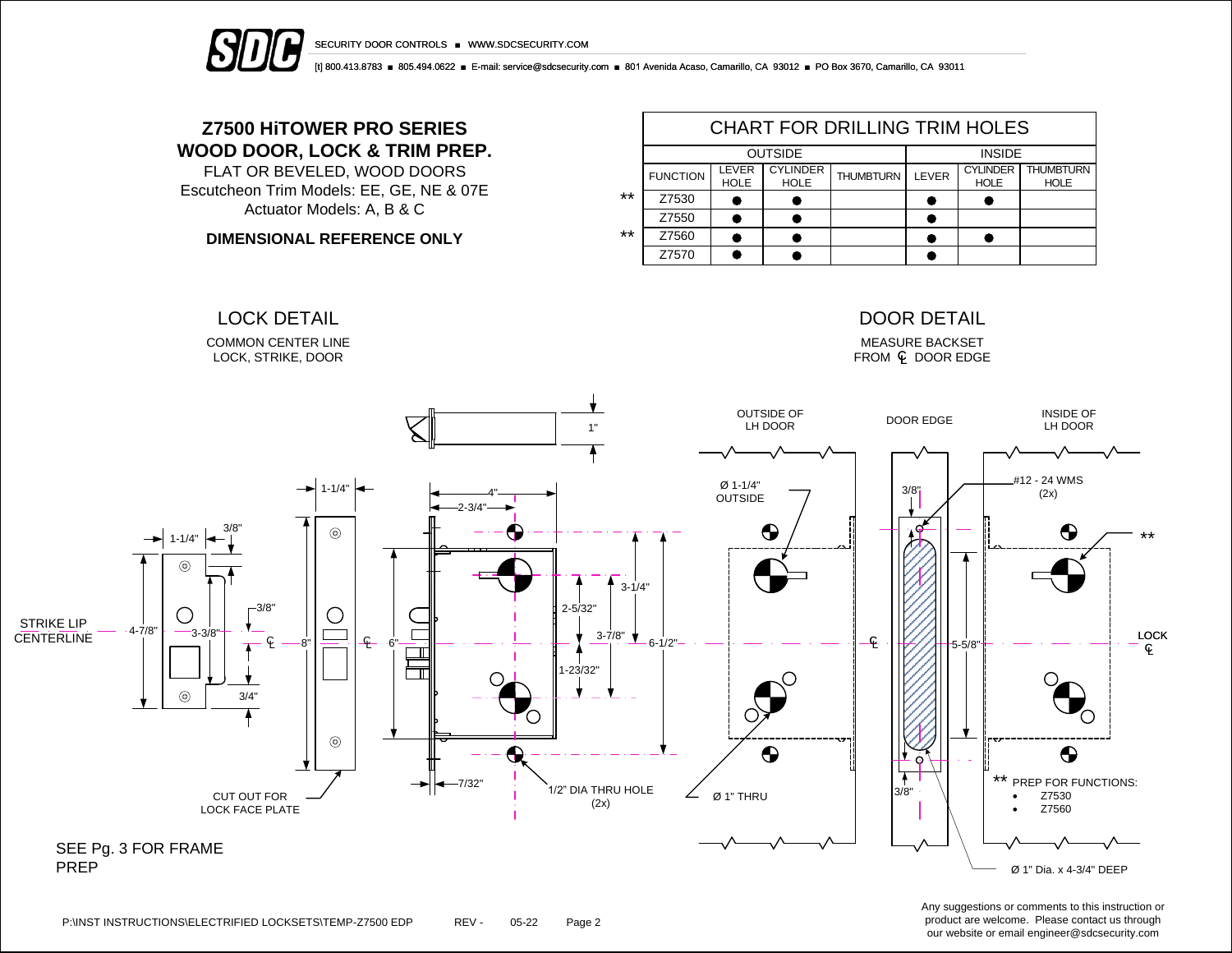



[t] 800.413.8783 ■ 805.494.0622 ■ E-mail: service@sdcsecurity.com ■ 801 Avenida Acaso, Camarillo, CA 93012 ■ PO Box 3670, Camarillo, CA 93011

# **Z7500 HiTOWER PRO SERIES WOOD DOOR, LOCK & TRIM PREP.**

FLAT OR BEVELED, WOOD DOORS Escutcheon Trim Models: EE, GE, NE & 07E Actuator Models: A, B & C

**DIMENSIONAL REFERENCE ONLY**

|       | <b>CHART FOR DRILLING TRIM HOLES</b> |                      |                                |                  |       |                                |                                 |  |  |  |  |
|-------|--------------------------------------|----------------------|--------------------------------|------------------|-------|--------------------------------|---------------------------------|--|--|--|--|
|       |                                      | <b>OUTSIDE</b>       | <b>INSIDE</b>                  |                  |       |                                |                                 |  |  |  |  |
|       | <b>FUNCTION</b>                      | LEVER<br><b>HOLE</b> | <b>CYLINDER</b><br><b>HOLE</b> | <b>THUMBTURN</b> | LEVER | <b>CYLINDER</b><br><b>HOLE</b> | <b>THUMBTURN</b><br><b>HOLE</b> |  |  |  |  |
| $***$ | Z7530                                |                      |                                |                  |       |                                |                                 |  |  |  |  |
|       | Z7550                                |                      |                                |                  |       |                                |                                 |  |  |  |  |
| $***$ | Z7560                                |                      |                                |                  |       |                                |                                 |  |  |  |  |
|       | Z7570                                |                      |                                |                  |       |                                |                                 |  |  |  |  |



Any suggestions or comments to this instruction or product are welcome. Please contact us through our website or email engineer@sdcsecurity.com